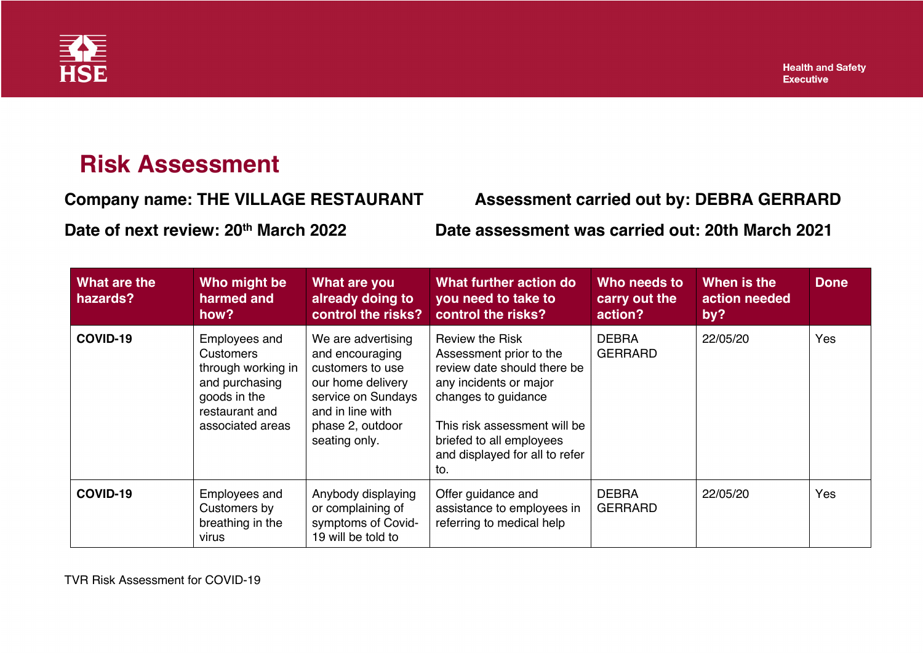

## **Risk Assessment**

**Company name: THE VILLAGE RESTAURANT Assessment carried out by: DEBRA GERRARD**

**Date of next review: 20th March 2022 Date assessment was carried out: 20th March 2021**

| What are the<br>hazards? | Who might be<br>harmed and<br>how?                                                                                              | What are you<br>already doing to<br>control the risks?                                                                                                        | What further action do<br>you need to take to<br>control the risks?                                                                                                                                                                    | Who needs to<br>carry out the<br>action? | When is the<br>action needed<br>by? | <b>Done</b> |
|--------------------------|---------------------------------------------------------------------------------------------------------------------------------|---------------------------------------------------------------------------------------------------------------------------------------------------------------|----------------------------------------------------------------------------------------------------------------------------------------------------------------------------------------------------------------------------------------|------------------------------------------|-------------------------------------|-------------|
| COVID-19                 | Employees and<br><b>Customers</b><br>through working in<br>and purchasing<br>goods in the<br>restaurant and<br>associated areas | We are advertising<br>and encouraging<br>customers to use<br>our home delivery<br>service on Sundays<br>and in line with<br>phase 2, outdoor<br>seating only. | <b>Review the Risk</b><br>Assessment prior to the<br>review date should there be<br>any incidents or major<br>changes to guidance<br>This risk assessment will be<br>briefed to all employees<br>and displayed for all to refer<br>to. | <b>DEBRA</b><br><b>GERRARD</b>           | 22/05/20                            | Yes         |
| COVID-19                 | Employees and<br>Customers by<br>breathing in the<br>virus                                                                      | Anybody displaying<br>or complaining of<br>symptoms of Covid-<br>19 will be told to                                                                           | Offer guidance and<br>assistance to employees in<br>referring to medical help                                                                                                                                                          | <b>DEBRA</b><br><b>GERRARD</b>           | 22/05/20                            | Yes         |

TVR Risk Assessment for COVID-19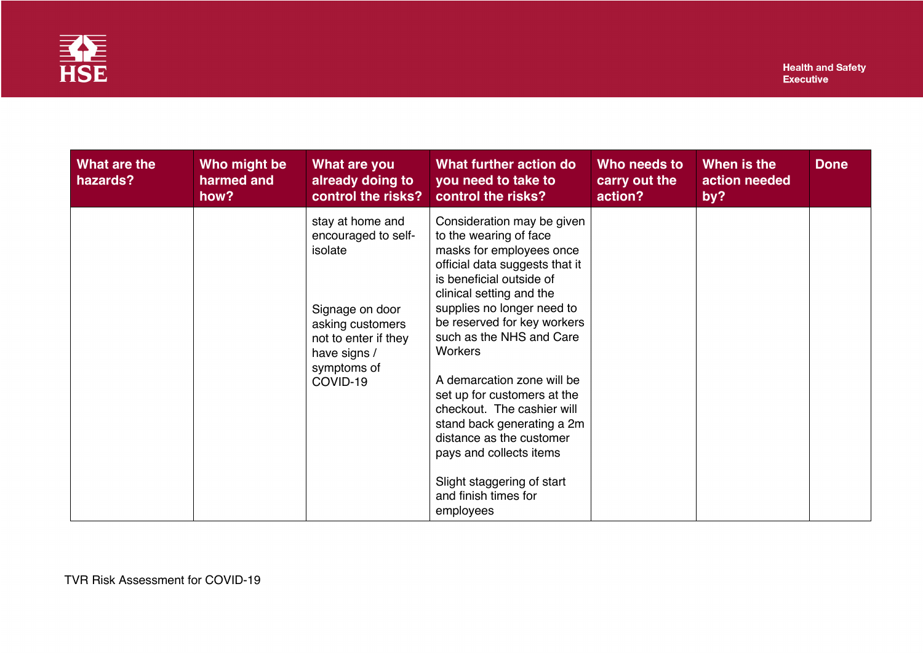

| What are the<br>hazards? | Who might be<br>harmed and<br>how? | What are you<br>already doing to<br>control the risks?                                                                                                       | What further action do<br>you need to take to<br>control the risks?                                                                                                                                                                                                                                                                                                                                                                                                                                                                      | Who needs to<br>carry out the<br>action? | When is the<br>action needed<br>by? | <b>Done</b> |
|--------------------------|------------------------------------|--------------------------------------------------------------------------------------------------------------------------------------------------------------|------------------------------------------------------------------------------------------------------------------------------------------------------------------------------------------------------------------------------------------------------------------------------------------------------------------------------------------------------------------------------------------------------------------------------------------------------------------------------------------------------------------------------------------|------------------------------------------|-------------------------------------|-------------|
|                          |                                    | stay at home and<br>encouraged to self-<br>isolate<br>Signage on door<br>asking customers<br>not to enter if they<br>have signs /<br>symptoms of<br>COVID-19 | Consideration may be given<br>to the wearing of face<br>masks for employees once<br>official data suggests that it<br>is beneficial outside of<br>clinical setting and the<br>supplies no longer need to<br>be reserved for key workers<br>such as the NHS and Care<br><b>Workers</b><br>A demarcation zone will be<br>set up for customers at the<br>checkout. The cashier will<br>stand back generating a 2m<br>distance as the customer<br>pays and collects items<br>Slight staggering of start<br>and finish times for<br>employees |                                          |                                     |             |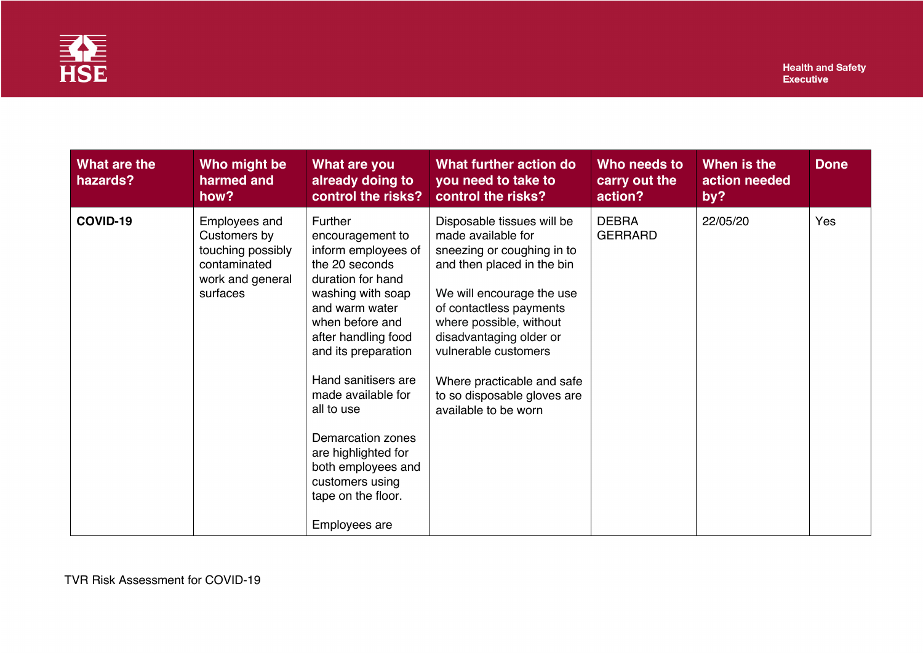

| What are the<br>hazards? | Who might be<br>harmed and<br>how?                                                                 | What are you<br>already doing to<br>control the risks?                                                                                                                                                                                                                                                                                                                                          | What further action do<br>you need to take to<br>control the risks?                                                                                                                                                                                                                                                                     | Who needs to<br>carry out the<br>action? | When is the<br>action needed<br>by? | <b>Done</b> |
|--------------------------|----------------------------------------------------------------------------------------------------|-------------------------------------------------------------------------------------------------------------------------------------------------------------------------------------------------------------------------------------------------------------------------------------------------------------------------------------------------------------------------------------------------|-----------------------------------------------------------------------------------------------------------------------------------------------------------------------------------------------------------------------------------------------------------------------------------------------------------------------------------------|------------------------------------------|-------------------------------------|-------------|
| COVID-19                 | Employees and<br>Customers by<br>touching possibly<br>contaminated<br>work and general<br>surfaces | <b>Further</b><br>encouragement to<br>inform employees of<br>the 20 seconds<br>duration for hand<br>washing with soap<br>and warm water<br>when before and<br>after handling food<br>and its preparation<br>Hand sanitisers are<br>made available for<br>all to use<br>Demarcation zones<br>are highlighted for<br>both employees and<br>customers using<br>tape on the floor.<br>Employees are | Disposable tissues will be<br>made available for<br>sneezing or coughing in to<br>and then placed in the bin<br>We will encourage the use<br>of contactless payments<br>where possible, without<br>disadvantaging older or<br>vulnerable customers<br>Where practicable and safe<br>to so disposable gloves are<br>available to be worn | <b>DEBRA</b><br><b>GERRARD</b>           | 22/05/20                            | Yes         |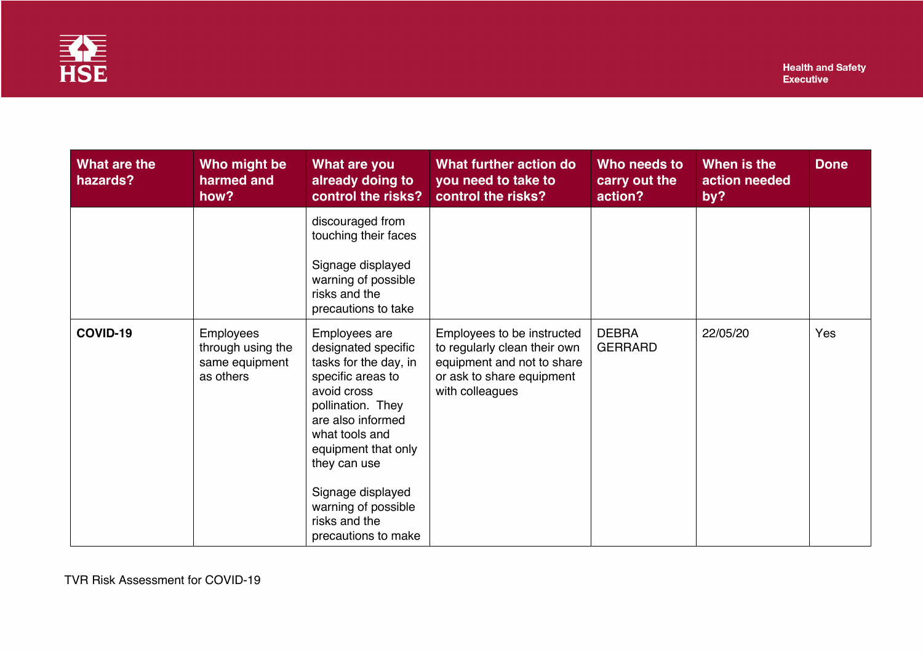

| What are the<br>hazards? | Who might be<br>harmed and<br>how?                                   | What are you<br>already doing to<br>control the risks?                                                                                                                                                                                                                                   | What further action do<br>you need to take to<br>control the risks?                                                                      | Who needs to<br>carry out the<br>action? | When is the<br>action needed<br>by? | <b>Done</b> |
|--------------------------|----------------------------------------------------------------------|------------------------------------------------------------------------------------------------------------------------------------------------------------------------------------------------------------------------------------------------------------------------------------------|------------------------------------------------------------------------------------------------------------------------------------------|------------------------------------------|-------------------------------------|-------------|
|                          |                                                                      | discouraged from<br>touching their faces<br>Signage displayed<br>warning of possible<br>risks and the<br>precautions to take                                                                                                                                                             |                                                                                                                                          |                                          |                                     |             |
| COVID-19                 | <b>Employees</b><br>through using the<br>same equipment<br>as others | Employees are<br>designated specific<br>tasks for the day, in<br>specific areas to<br>avoid cross<br>pollination. They<br>are also informed<br>what tools and<br>equipment that only<br>they can use<br>Signage displayed<br>warning of possible<br>risks and the<br>precautions to make | Employees to be instructed<br>to regularly clean their own<br>equipment and not to share<br>or ask to share equipment<br>with colleagues | <b>DEBRA</b><br><b>GERRARD</b>           | 22/05/20                            | Yes         |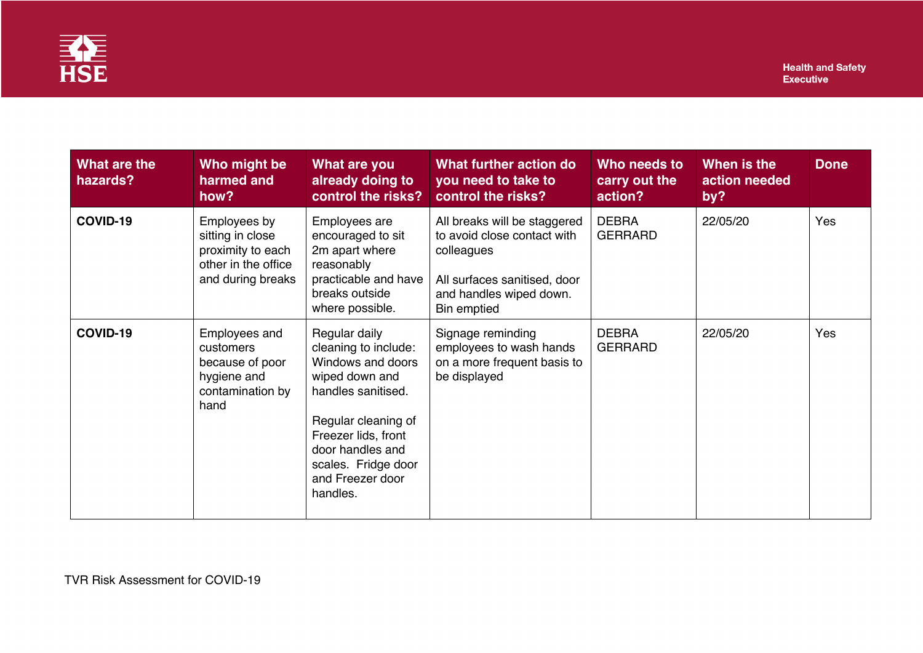

| What are the<br>hazards? | Who might be<br>harmed and<br>how?                                                                | What are you<br>already doing to<br>control the risks?                                                                                                                                                                      | What further action do<br>you need to take to<br>control the risks?                                                                                 | Who needs to<br>carry out the<br>action? | When is the<br>action needed<br>by? | <b>Done</b> |
|--------------------------|---------------------------------------------------------------------------------------------------|-----------------------------------------------------------------------------------------------------------------------------------------------------------------------------------------------------------------------------|-----------------------------------------------------------------------------------------------------------------------------------------------------|------------------------------------------|-------------------------------------|-------------|
| COVID-19                 | Employees by<br>sitting in close<br>proximity to each<br>other in the office<br>and during breaks | Employees are<br>encouraged to sit<br>2m apart where<br>reasonably<br>practicable and have<br>breaks outside<br>where possible.                                                                                             | All breaks will be staggered<br>to avoid close contact with<br>colleagues<br>All surfaces sanitised, door<br>and handles wiped down.<br>Bin emptied | <b>DEBRA</b><br><b>GERRARD</b>           | 22/05/20                            | Yes         |
| COVID-19                 | Employees and<br>customers<br>because of poor<br>hygiene and<br>contamination by<br>hand          | Regular daily<br>cleaning to include:<br>Windows and doors<br>wiped down and<br>handles sanitised.<br>Regular cleaning of<br>Freezer lids, front<br>door handles and<br>scales. Fridge door<br>and Freezer door<br>handles. | Signage reminding<br>employees to wash hands<br>on a more frequent basis to<br>be displayed                                                         | <b>DEBRA</b><br><b>GERRARD</b>           | 22/05/20                            | Yes         |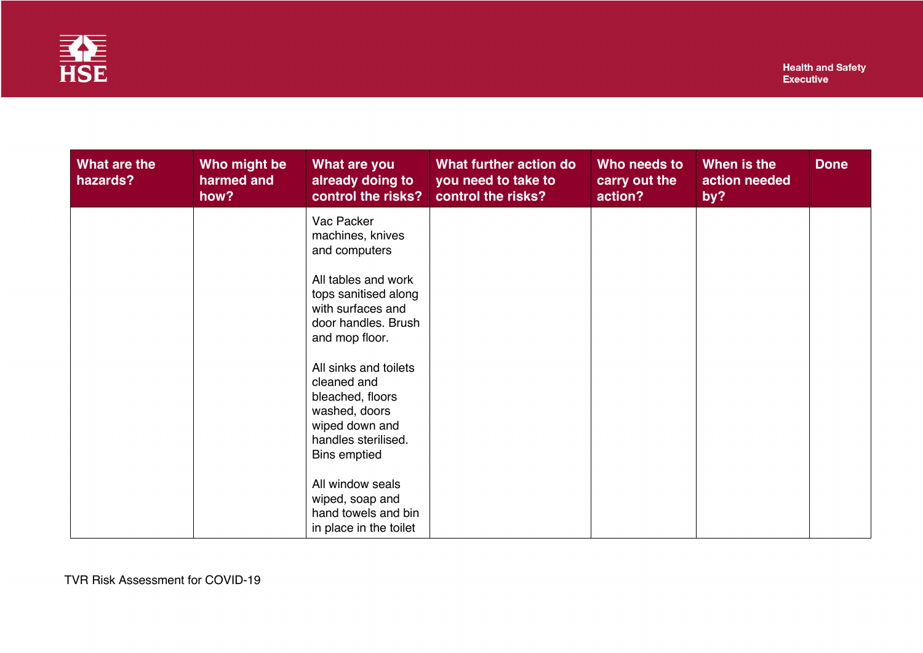

| What are the<br>hazards? | Who might be<br>harmed and<br>how? | What are you<br>already doing to<br>control the risks?                                                                             | What further action do<br>you need to take to<br>control the risks? | Who needs to<br>carry out the<br>action? | When is the<br>action needed<br>by? | <b>Done</b> |
|--------------------------|------------------------------------|------------------------------------------------------------------------------------------------------------------------------------|---------------------------------------------------------------------|------------------------------------------|-------------------------------------|-------------|
|                          |                                    | Vac Packer<br>machines, knives<br>and computers                                                                                    |                                                                     |                                          |                                     |             |
|                          |                                    | All tables and work<br>tops sanitised along<br>with surfaces and<br>door handles. Brush<br>and mop floor.                          |                                                                     |                                          |                                     |             |
|                          |                                    | All sinks and toilets<br>cleaned and<br>bleached, floors<br>washed, doors<br>wiped down and<br>handles sterilised.<br>Bins emptied |                                                                     |                                          |                                     |             |
|                          |                                    | All window seals<br>wiped, soap and<br>hand towels and bin<br>in place in the toilet                                               |                                                                     |                                          |                                     |             |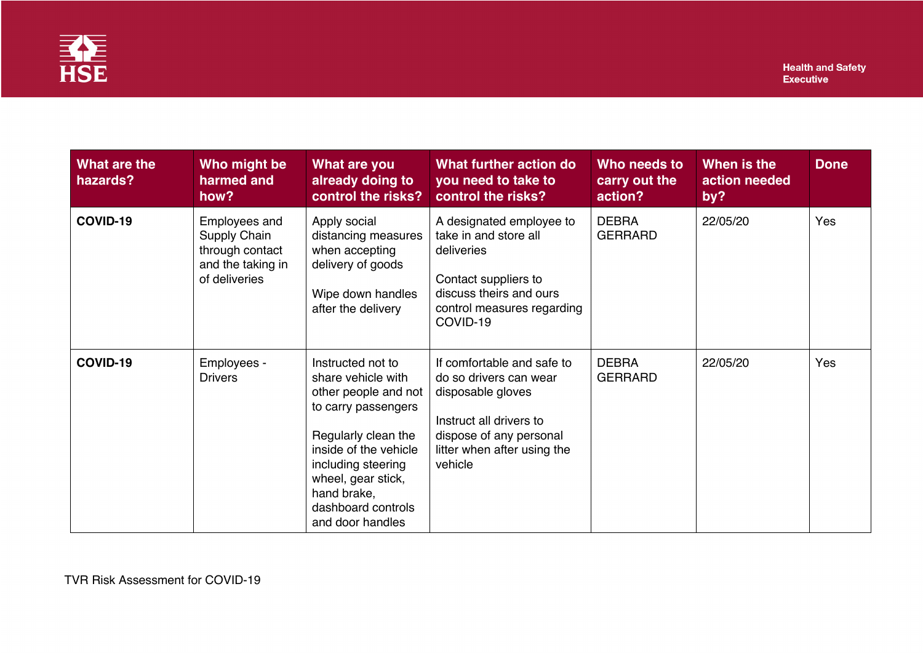

| What are the<br>hazards? | Who might be<br>harmed and<br>how?                                                     | What are you<br>already doing to<br>control the risks?                                                                                                                                                                                      | What further action do<br>you need to take to<br>control the risks?                                                                                                       | Who needs to<br>carry out the<br>action? | When is the<br>action needed<br>by? | <b>Done</b> |
|--------------------------|----------------------------------------------------------------------------------------|---------------------------------------------------------------------------------------------------------------------------------------------------------------------------------------------------------------------------------------------|---------------------------------------------------------------------------------------------------------------------------------------------------------------------------|------------------------------------------|-------------------------------------|-------------|
| COVID-19                 | Employees and<br>Supply Chain<br>through contact<br>and the taking in<br>of deliveries | Apply social<br>distancing measures<br>when accepting<br>delivery of goods<br>Wipe down handles<br>after the delivery                                                                                                                       | A designated employee to<br>take in and store all<br>deliveries<br>Contact suppliers to<br>discuss theirs and ours<br>control measures regarding<br>COVID-19              | <b>DEBRA</b><br><b>GERRARD</b>           | 22/05/20                            | Yes         |
| COVID-19                 | Employees -<br><b>Drivers</b>                                                          | Instructed not to<br>share vehicle with<br>other people and not<br>to carry passengers<br>Regularly clean the<br>inside of the vehicle<br>including steering<br>wheel, gear stick,<br>hand brake,<br>dashboard controls<br>and door handles | If comfortable and safe to<br>do so drivers can wear<br>disposable gloves<br>Instruct all drivers to<br>dispose of any personal<br>litter when after using the<br>vehicle | <b>DEBRA</b><br><b>GERRARD</b>           | 22/05/20                            | Yes         |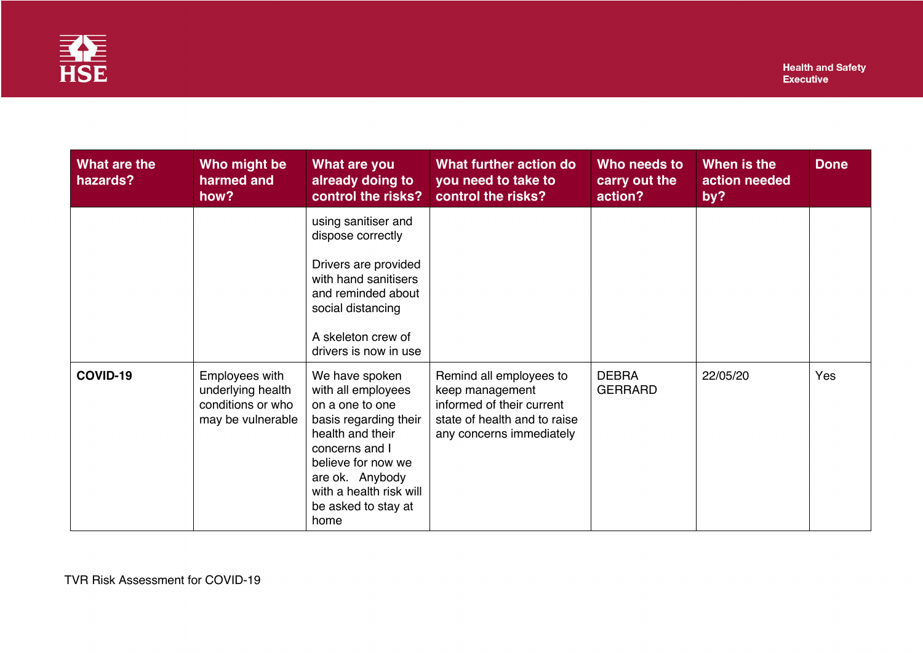

| What are the<br>hazards? | Who might be<br>harmed and<br>how?                                            | What are you<br>already doing to<br>control the risks?                                                                                                                                                                    | What further action do<br>you need to take to<br>control the risks?                                                                 | Who needs to<br>carry out the<br>action? | When is the<br>action needed<br>by? | <b>Done</b> |
|--------------------------|-------------------------------------------------------------------------------|---------------------------------------------------------------------------------------------------------------------------------------------------------------------------------------------------------------------------|-------------------------------------------------------------------------------------------------------------------------------------|------------------------------------------|-------------------------------------|-------------|
|                          |                                                                               | using sanitiser and<br>dispose correctly<br>Drivers are provided<br>with hand sanitisers<br>and reminded about<br>social distancing<br>A skeleton crew of<br>drivers is now in use                                        |                                                                                                                                     |                                          |                                     |             |
| COVID-19                 | Employees with<br>underlying health<br>conditions or who<br>may be vulnerable | We have spoken<br>with all employees<br>on a one to one<br>basis regarding their<br>health and their<br>concerns and I<br>believe for now we<br>are ok. Anybody<br>with a health risk will<br>be asked to stay at<br>home | Remind all employees to<br>keep management<br>informed of their current<br>state of health and to raise<br>any concerns immediately | <b>DEBRA</b><br><b>GERRARD</b>           | 22/05/20                            | Yes         |